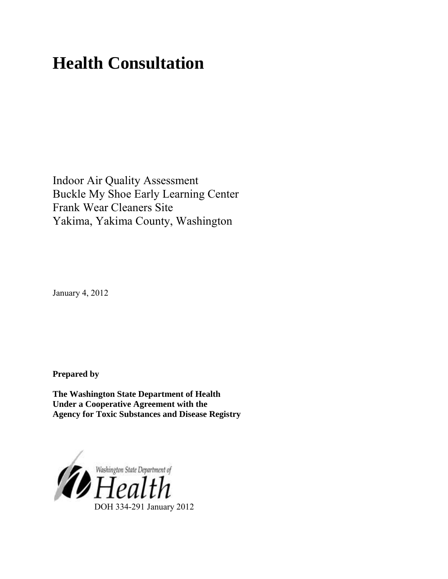# **Health Consultation**

Indoor Air Quality Assessment Buckle My Shoe Early Learning Center Frank Wear Cleaners Site Yakima, Yakima County, Washington

January 4, 2012

**Prepared by** 

**The Washington State Department of Health Under a Cooperative Agreement with the Agency for Toxic Substances and Disease Registry**

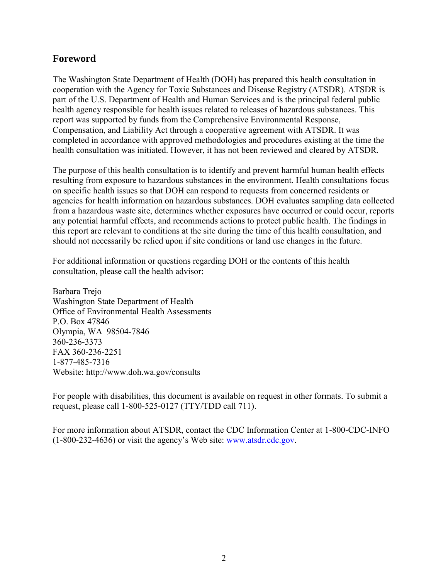## **Foreword**

The Washington State Department of Health (DOH) has prepared this health consultation in cooperation with the Agency for Toxic Substances and Disease Registry (ATSDR). ATSDR is part of the U.S. Department of Health and Human Services and is the principal federal public health agency responsible for health issues related to releases of hazardous substances. This report was supported by funds from the Comprehensive Environmental Response, Compensation, and Liability Act through a cooperative agreement with ATSDR. It was completed in accordance with approved methodologies and procedures existing at the time the health consultation was initiated. However, it has not been reviewed and cleared by ATSDR.

The purpose of this health consultation is to identify and prevent harmful human health effects resulting from exposure to hazardous substances in the environment. Health consultations focus on specific health issues so that DOH can respond to requests from concerned residents or agencies for health information on hazardous substances. DOH evaluates sampling data collected from a hazardous waste site, determines whether exposures have occurred or could occur, reports any potential harmful effects, and recommends actions to protect public health. The findings in this report are relevant to conditions at the site during the time of this health consultation, and should not necessarily be relied upon if site conditions or land use changes in the future.

For additional information or questions regarding DOH or the contents of this health consultation, please call the health advisor:

Barbara Trejo Washington State Department of Health Office of Environmental Health Assessments P.O. Box 47846 Olympia, WA 98504-7846 360-236-3373 FAX 360-236-2251 1-877-485-7316 Website: [http://www.doh.wa.gov](http://www.doh.wa.gov/consults)/consults

For people with disabilities, this document is available on request in other formats. To submit a request, please call 1-800-525-0127 (TTY/TDD call 711).

For more information about ATSDR, contact the CDC Information Center at 1-800-CDC-INFO (1-800-232-4636) or visit the agency"s Web site: [www.atsdr.cdc.gov.](http://www.atsdr.cdc.gov/)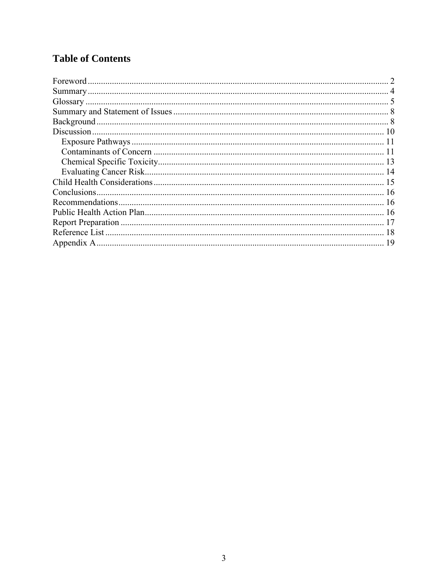# **Table of Contents**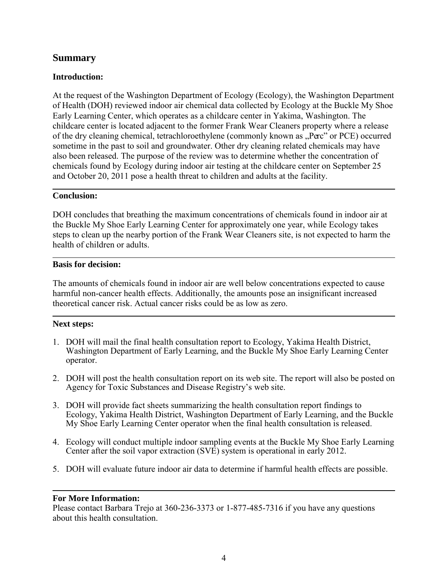## **Summary**

#### **Introduction:**

At the request of the Washington Department of Ecology (Ecology), the Washington Department of Health (DOH) reviewed indoor air chemical data collected by Ecology at the Buckle My Shoe Early Learning Center, which operates as a childcare center in Yakima, Washington. The childcare center is located adjacent to the former Frank Wear Cleaners property where a release of the dry cleaning chemical, tetrachloroethylene (commonly known as "Perc" or PCE) occurred sometime in the past to soil and groundwater. Other dry cleaning related chemicals may have also been released. The purpose of the review was to determine whether the concentration of chemicals found by Ecology during indoor air testing at the childcare center on September 25 and October 20, 2011 pose a health threat to children and adults at the facility.

#### **Conclusion:**

DOH concludes that breathing the maximum concentrations of chemicals found in indoor air at the Buckle My Shoe Early Learning Center for approximately one year, while Ecology takes steps to clean up the nearby portion of the Frank Wear Cleaners site, is not expected to harm the health of children or adults.

#### **Basis for decision:**

The amounts of chemicals found in indoor air are well below concentrations expected to cause harmful non-cancer health effects. Additionally, the amounts pose an insignificant increased theoretical cancer risk. Actual cancer risks could be as low as zero.

#### **Next steps:**

- 1. DOH will mail the final health consultation report to Ecology, Yakima Health District, Washington Department of Early Learning, and the Buckle My Shoe Early Learning Center operator.
- 2. DOH will post the health consultation report on its web site. The report will also be posted on Agency for Toxic Substances and Disease Registry"s web site.
- 3. DOH will provide fact sheets summarizing the health consultation report findings to Ecology, Yakima Health District, Washington Department of Early Learning, and the Buckle My Shoe Early Learning Center operator when the final health consultation is released.
- 4. Ecology will conduct multiple indoor sampling events at the Buckle My Shoe Early Learning Center after the soil vapor extraction (SVE) system is operational in early 2012.
- 5. DOH will evaluate future indoor air data to determine if harmful health effects are possible.

#### **For More Information:**

Please contact Barbara Trejo at 360-236-3373 or 1-877-485-7316 if you have any questions about this health consultation.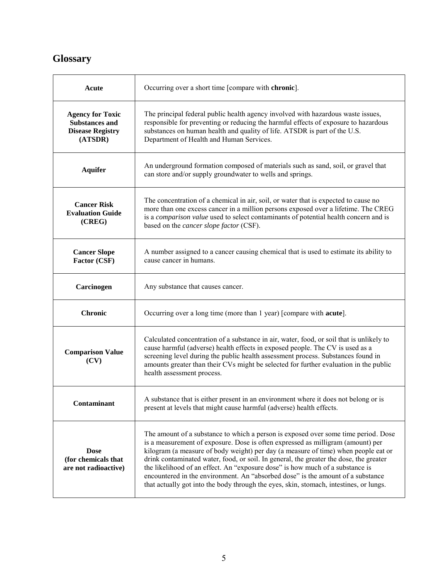# **Glossary**

| Acute                                                                                  | Occurring over a short time [compare with chronic].                                                                                                                                                                                                                                                                                                                                                                                                                                                                                                                                                                 |
|----------------------------------------------------------------------------------------|---------------------------------------------------------------------------------------------------------------------------------------------------------------------------------------------------------------------------------------------------------------------------------------------------------------------------------------------------------------------------------------------------------------------------------------------------------------------------------------------------------------------------------------------------------------------------------------------------------------------|
| <b>Agency for Toxic</b><br><b>Substances and</b><br><b>Disease Registry</b><br>(ATSDR) | The principal federal public health agency involved with hazardous waste issues,<br>responsible for preventing or reducing the harmful effects of exposure to hazardous<br>substances on human health and quality of life. ATSDR is part of the U.S.<br>Department of Health and Human Services.                                                                                                                                                                                                                                                                                                                    |
| <b>Aquifer</b>                                                                         | An underground formation composed of materials such as sand, soil, or gravel that<br>can store and/or supply groundwater to wells and springs.                                                                                                                                                                                                                                                                                                                                                                                                                                                                      |
| <b>Cancer Risk</b><br><b>Evaluation Guide</b><br>(CREG)                                | The concentration of a chemical in air, soil, or water that is expected to cause no<br>more than one excess cancer in a million persons exposed over a lifetime. The CREG<br>is a comparison value used to select contaminants of potential health concern and is<br>based on the <i>cancer slope factor</i> (CSF).                                                                                                                                                                                                                                                                                                 |
| <b>Cancer Slope</b><br>Factor (CSF)                                                    | A number assigned to a cancer causing chemical that is used to estimate its ability to<br>cause cancer in humans.                                                                                                                                                                                                                                                                                                                                                                                                                                                                                                   |
| Carcinogen                                                                             | Any substance that causes cancer.                                                                                                                                                                                                                                                                                                                                                                                                                                                                                                                                                                                   |
| <b>Chronic</b>                                                                         | Occurring over a long time (more than 1 year) [compare with <b>acute</b> ].                                                                                                                                                                                                                                                                                                                                                                                                                                                                                                                                         |
| <b>Comparison Value</b><br>(CV)                                                        | Calculated concentration of a substance in air, water, food, or soil that is unlikely to<br>cause harmful (adverse) health effects in exposed people. The CV is used as a<br>screening level during the public health assessment process. Substances found in<br>amounts greater than their CVs might be selected for further evaluation in the public<br>health assessment process.                                                                                                                                                                                                                                |
| Contaminant                                                                            | A substance that is either present in an environment where it does not belong or is<br>present at levels that might cause harmful (adverse) health effects.                                                                                                                                                                                                                                                                                                                                                                                                                                                         |
| <b>Dose</b><br>(for chemicals that<br>are not radioactive)                             | The amount of a substance to which a person is exposed over some time period. Dose<br>is a measurement of exposure. Dose is often expressed as milligram (amount) per<br>kilogram (a measure of body weight) per day (a measure of time) when people eat or<br>drink contaminated water, food, or soil. In general, the greater the dose, the greater<br>the likelihood of an effect. An "exposure dose" is how much of a substance is<br>encountered in the environment. An "absorbed dose" is the amount of a substance<br>that actually got into the body through the eyes, skin, stomach, intestines, or lungs. |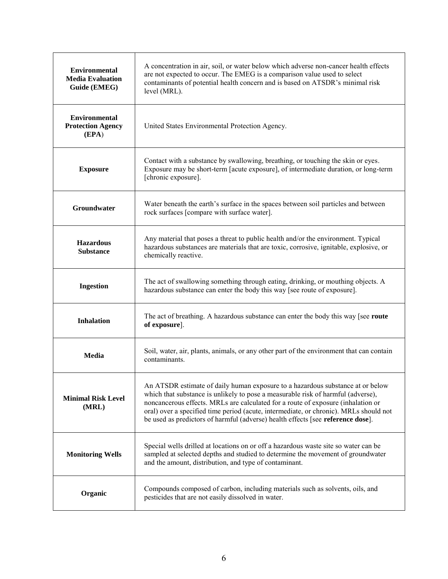| <b>Environmental</b><br><b>Media Evaluation</b><br>Guide (EMEG) | A concentration in air, soil, or water below which adverse non-cancer health effects<br>are not expected to occur. The EMEG is a comparison value used to select<br>contaminants of potential health concern and is based on ATSDR's minimal risk<br>level (MRL).                                                                                                                                                                  |
|-----------------------------------------------------------------|------------------------------------------------------------------------------------------------------------------------------------------------------------------------------------------------------------------------------------------------------------------------------------------------------------------------------------------------------------------------------------------------------------------------------------|
| <b>Environmental</b><br><b>Protection Agency</b><br>(EPA)       | United States Environmental Protection Agency.                                                                                                                                                                                                                                                                                                                                                                                     |
| <b>Exposure</b>                                                 | Contact with a substance by swallowing, breathing, or touching the skin or eyes.<br>Exposure may be short-term [acute exposure], of intermediate duration, or long-term<br>[chronic exposure].                                                                                                                                                                                                                                     |
| Groundwater                                                     | Water beneath the earth's surface in the spaces between soil particles and between<br>rock surfaces [compare with surface water].                                                                                                                                                                                                                                                                                                  |
| <b>Hazardous</b><br><b>Substance</b>                            | Any material that poses a threat to public health and/or the environment. Typical<br>hazardous substances are materials that are toxic, corrosive, ignitable, explosive, or<br>chemically reactive.                                                                                                                                                                                                                                |
| <b>Ingestion</b>                                                | The act of swallowing something through eating, drinking, or mouthing objects. A<br>hazardous substance can enter the body this way [see route of exposure].                                                                                                                                                                                                                                                                       |
| <b>Inhalation</b>                                               | The act of breathing. A hazardous substance can enter the body this way [see route]<br>of exposure].                                                                                                                                                                                                                                                                                                                               |
| <b>Media</b>                                                    | Soil, water, air, plants, animals, or any other part of the environment that can contain<br>contaminants.                                                                                                                                                                                                                                                                                                                          |
| <b>Minimal Risk Level</b><br>(MRL)                              | An ATSDR estimate of daily human exposure to a hazardous substance at or below<br>which that substance is unlikely to pose a measurable risk of harmful (adverse),<br>noncancerous effects. MRLs are calculated for a route of exposure (inhalation or<br>oral) over a specified time period (acute, intermediate, or chronic). MRLs should not<br>be used as predictors of harmful (adverse) health effects [see reference dose]. |
| <b>Monitoring Wells</b>                                         | Special wells drilled at locations on or off a hazardous waste site so water can be<br>sampled at selected depths and studied to determine the movement of groundwater<br>and the amount, distribution, and type of contaminant.                                                                                                                                                                                                   |
| Organic                                                         | Compounds composed of carbon, including materials such as solvents, oils, and<br>pesticides that are not easily dissolved in water.                                                                                                                                                                                                                                                                                                |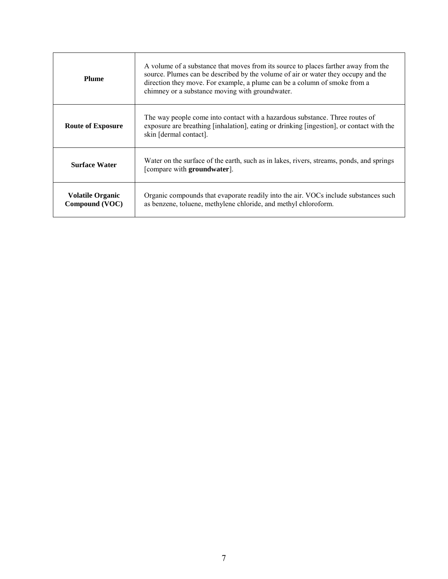| <b>Plume</b>                              | A volume of a substance that moves from its source to places farther away from the<br>source. Plumes can be described by the volume of air or water they occupy and the<br>direction they move. For example, a plume can be a column of smoke from a<br>chimney or a substance moving with groundwater. |  |  |  |  |
|-------------------------------------------|---------------------------------------------------------------------------------------------------------------------------------------------------------------------------------------------------------------------------------------------------------------------------------------------------------|--|--|--|--|
| <b>Route of Exposure</b>                  | The way people come into contact with a hazardous substance. Three routes of<br>exposure are breathing [inhalation], eating or drinking [ingestion], or contact with the<br>skin [dermal contact].                                                                                                      |  |  |  |  |
| <b>Surface Water</b>                      | Water on the surface of the earth, such as in lakes, rivers, streams, ponds, and springs<br>[compare with groundwater].                                                                                                                                                                                 |  |  |  |  |
| <b>Volatile Organic</b><br>Compound (VOC) | Organic compounds that evaporate readily into the air. VOCs include substances such<br>as benzene, toluene, methylene chloride, and methyl chloroform.                                                                                                                                                  |  |  |  |  |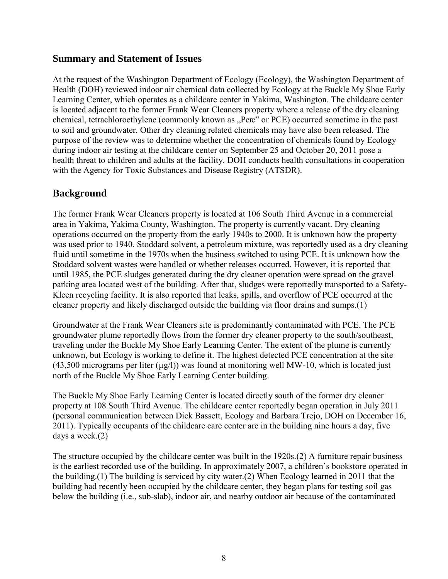## **Summary and Statement of Issues**

At the request of the Washington Department of Ecology (Ecology), the Washington Department of Health (DOH) reviewed indoor air chemical data collected by Ecology at the Buckle My Shoe Early Learning Center, which operates as a childcare center in Yakima, Washington. The childcare center is located adjacent to the former Frank Wear Cleaners property where a release of the dry cleaning chemical, tetrachloroethylene (commonly known as "Perc" or PCE) occurred sometime in the past to soil and groundwater. Other dry cleaning related chemicals may have also been released. The purpose of the review was to determine whether the concentration of chemicals found by Ecology during indoor air testing at the childcare center on September 25 and October 20, 2011 pose a health threat to children and adults at the facility. DOH conducts health consultations in cooperation with the Agency for Toxic Substances and Disease Registry (ATSDR).

# **Background**

The former Frank Wear Cleaners property is located at 106 South Third Avenue in a commercial area in Yakima, Yakima County, Washington. The property is currently vacant. Dry cleaning operations occurred on the property from the early 1940s to 2000. It is unknown how the property was used prior to 1940. Stoddard solvent, a petroleum mixture, was reportedly used as a dry cleaning fluid until sometime in the 1970s when the business switched to using PCE. It is unknown how the Stoddard solvent wastes were handled or whether releases occurred. However, it is reported that until 1985, the PCE sludges generated during the dry cleaner operation were spread on the gravel parking area located west of the building. After that, sludges were reportedly transported to a Safety-Kleen recycling facility. It is also reported that leaks, spills, and overflow of PCE occurred at the cleaner property and likely discharged outside the building via floor drains and sumps.(1)

Groundwater at the Frank Wear Cleaners site is predominantly contaminated with PCE. The PCE groundwater plume reportedly flows from the former dry cleaner property to the south/southeast, traveling under the Buckle My Shoe Early Learning Center. The extent of the plume is currently unknown, but Ecology is working to define it. The highest detected PCE concentration at the site  $(43,500$  micrograms per liter  $(\mu g/l)$ ) was found at monitoring well MW-10, which is located just north of the Buckle My Shoe Early Learning Center building.

The Buckle My Shoe Early Learning Center is located directly south of the former dry cleaner property at 108 South Third Avenue. The childcare center reportedly began operation in July 2011 (personal communication between Dick Bassett, Ecology and Barbara Trejo, DOH on December 16, 2011). Typically occupants of the childcare care center are in the building nine hours a day, five days a week.(2)

The structure occupied by the childcare center was built in the 1920s.(2) A furniture repair business is the earliest recorded use of the building. In approximately 2007, a children"s bookstore operated in the building.(1) The building is serviced by city water.(2) When Ecology learned in 2011 that the building had recently been occupied by the childcare center, they began plans for testing soil gas below the building (i.e., sub-slab), indoor air, and nearby outdoor air because of the contaminated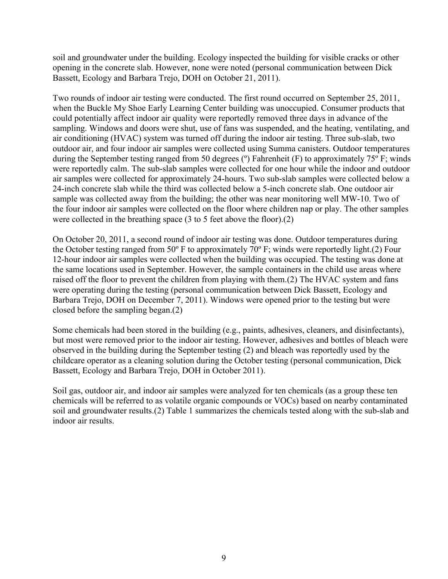soil and groundwater under the building. Ecology inspected the building for visible cracks or other opening in the concrete slab. However, none were noted (personal communication between Dick Bassett, Ecology and Barbara Trejo, DOH on October 21, 2011).

Two rounds of indoor air testing were conducted. The first round occurred on September 25, 2011, when the Buckle My Shoe Early Learning Center building was unoccupied. Consumer products that could potentially affect indoor air quality were reportedly removed three days in advance of the sampling. Windows and doors were shut, use of fans was suspended, and the heating, ventilating, and air conditioning (HVAC) system was turned off during the indoor air testing. Three sub-slab, two outdoor air, and four indoor air samples were collected using Summa canisters. Outdoor temperatures during the September testing ranged from 50 degrees (°) Fahrenheit (F) to approximately 75° F; winds were reportedly calm. The sub-slab samples were collected for one hour while the indoor and outdoor air samples were collected for approximately 24-hours. Two sub-slab samples were collected below a 24-inch concrete slab while the third was collected below a 5-inch concrete slab. One outdoor air sample was collected away from the building; the other was near monitoring well MW-10. Two of the four indoor air samples were collected on the floor where children nap or play. The other samples were collected in the breathing space (3 to 5 feet above the floor).(2)

On October 20, 2011, a second round of indoor air testing was done. Outdoor temperatures during the October testing ranged from 50º F to approximately 70º F; winds were reportedly light.(2) Four 12-hour indoor air samples were collected when the building was occupied. The testing was done at the same locations used in September. However, the sample containers in the child use areas where raised off the floor to prevent the children from playing with them.(2) The HVAC system and fans were operating during the testing (personal communication between Dick Bassett, Ecology and Barbara Trejo, DOH on December 7, 2011). Windows were opened prior to the testing but were closed before the sampling began.(2)

Some chemicals had been stored in the building (e.g., paints, adhesives, cleaners, and disinfectants), but most were removed prior to the indoor air testing. However, adhesives and bottles of bleach were observed in the building during the September testing (2) and bleach was reportedly used by the childcare operator as a cleaning solution during the October testing (personal communication, Dick Bassett, Ecology and Barbara Trejo, DOH in October 2011).

Soil gas, outdoor air, and indoor air samples were analyzed for ten chemicals (as a group these ten chemicals will be referred to as volatile organic compounds or VOCs) based on nearby contaminated soil and groundwater results.(2) Table 1 summarizes the chemicals tested along with the sub-slab and indoor air results.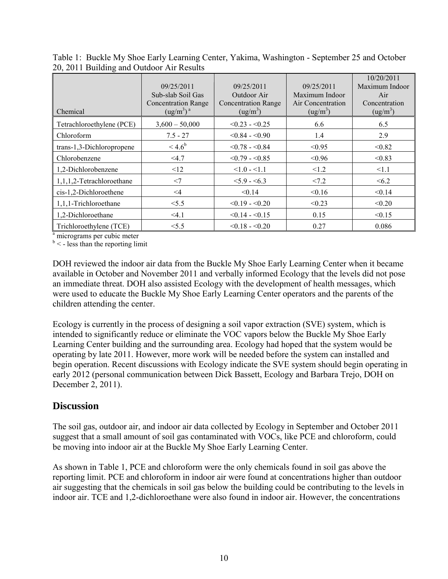| Chemical                  | 09/25/2011<br>Sub-slab Soil Gas<br><b>Concentration Range</b><br>(ug/m <sup>3</sup> ) <sup>a</sup> | 09/25/2011<br>Outdoor Air<br><b>Concentration Range</b><br>(ug/m <sup>3</sup> ) | 09/25/2011<br>Maximum Indoor<br>Air Concentration<br>(ug/m <sup>3</sup> ) | 10/20/2011<br>Maximum Indoor<br>Air<br>Concentration<br>(ug/m <sup>3</sup> ) |
|---------------------------|----------------------------------------------------------------------------------------------------|---------------------------------------------------------------------------------|---------------------------------------------------------------------------|------------------------------------------------------------------------------|
| Tetrachloroethylene (PCE) | $3,600 - 50,000$                                                                                   | $< 0.23 - 0.25$                                                                 | 6.6                                                                       | 6.5                                                                          |
| Chloroform                | $7.5 - 27$                                                                                         | $< 0.84 - 0.90$                                                                 | 1.4                                                                       | 2.9                                                                          |
| trans-1,3-Dichloropropene | $<$ 4.6 <sup>b</sup>                                                                               | $< 0.78 - 0.84$                                                                 | < 0.95                                                                    | < 0.82                                                                       |
| Chlorobenzene             | $<$ 4.7                                                                                            | $< 0.79 - 0.85$                                                                 | < 0.96                                                                    | < 0.83                                                                       |
| 1,2-Dichlorobenzene       | $\leq$ 12                                                                                          | $<1.0 - 1.1$                                                                    | < 1.2                                                                     | < 1.1                                                                        |
| 1,1,1,2-Tetrachloroethane | $<$ 7                                                                                              | $< 5.9 - 6.3$                                                                   | < 7.2                                                                     | <6.2                                                                         |
| cis-1,2-Dichloroethene    | $\leq$ 4                                                                                           | < 0.14                                                                          | < 0.16                                                                    | < 0.14                                                                       |
| 1,1,1-Trichloroethane     | < 5.5                                                                                              | $< 0.19 - 0.20$                                                                 | < 0.23                                                                    | < 0.20                                                                       |
| 1,2-Dichloroethane        | < 4.1                                                                                              | $< 0.14 - 0.15$                                                                 | 0.15                                                                      | < 0.15                                                                       |
| Trichloroethylene (TCE)   | < 5.5                                                                                              | $< 0.18 - 0.20$                                                                 | 0.27                                                                      | 0.086                                                                        |

Table 1: Buckle My Shoe Early Learning Center, Yakima, Washington - September 25 and October 20, 2011 Building and Outdoor Air Results

a micrograms per cubic meter

 $b$  < - less than the reporting limit

DOH reviewed the indoor air data from the Buckle My Shoe Early Learning Center when it became available in October and November 2011 and verbally informed Ecology that the levels did not pose an immediate threat. DOH also assisted Ecology with the development of health messages, which were used to educate the Buckle My Shoe Early Learning Center operators and the parents of the children attending the center.

Ecology is currently in the process of designing a soil vapor extraction (SVE) system, which is intended to significantly reduce or eliminate the VOC vapors below the Buckle My Shoe Early Learning Center building and the surrounding area. Ecology had hoped that the system would be operating by late 2011. However, more work will be needed before the system can installed and begin operation. Recent discussions with Ecology indicate the SVE system should begin operating in early 2012 (personal communication between Dick Bassett, Ecology and Barbara Trejo, DOH on December 2, 2011).

## **Discussion**

The soil gas, outdoor air, and indoor air data collected by Ecology in September and October 2011 suggest that a small amount of soil gas contaminated with VOCs, like PCE and chloroform, could be moving into indoor air at the Buckle My Shoe Early Learning Center.

As shown in Table 1, PCE and chloroform were the only chemicals found in soil gas above the reporting limit. PCE and chloroform in indoor air were found at concentrations higher than outdoor air suggesting that the chemicals in soil gas below the building could be contributing to the levels in indoor air. TCE and 1,2-dichloroethane were also found in indoor air. However, the concentrations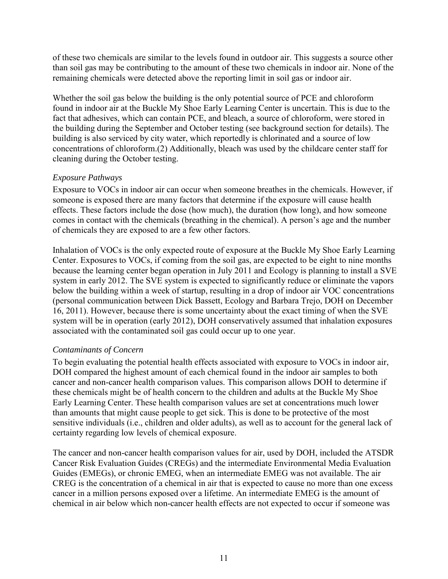of these two chemicals are similar to the levels found in outdoor air. This suggests a source other than soil gas may be contributing to the amount of these two chemicals in indoor air. None of the remaining chemicals were detected above the reporting limit in soil gas or indoor air.

Whether the soil gas below the building is the only potential source of PCE and chloroform found in indoor air at the Buckle My Shoe Early Learning Center is uncertain. This is due to the fact that adhesives, which can contain PCE, and bleach, a source of chloroform, were stored in the building during the September and October testing (see background section for details). The building is also serviced by city water, which reportedly is chlorinated and a source of low concentrations of chloroform.(2) Additionally, bleach was used by the childcare center staff for cleaning during the October testing.

#### *Exposure Pathways*

Exposure to VOCs in indoor air can occur when someone breathes in the chemicals. However, if someone is exposed there are many factors that determine if the exposure will cause health effects. These factors include the dose (how much), the duration (how long), and how someone comes in contact with the chemicals (breathing in the chemical). A person's age and the number of chemicals they are exposed to are a few other factors.

Inhalation of VOCs is the only expected route of exposure at the Buckle My Shoe Early Learning Center. Exposures to VOCs, if coming from the soil gas, are expected to be eight to nine months because the learning center began operation in July 2011 and Ecology is planning to install a SVE system in early 2012. The SVE system is expected to significantly reduce or eliminate the vapors below the building within a week of startup, resulting in a drop of indoor air VOC concentrations (personal communication between Dick Bassett, Ecology and Barbara Trejo, DOH on December 16, 2011). However, because there is some uncertainty about the exact timing of when the SVE system will be in operation (early 2012), DOH conservatively assumed that inhalation exposures associated with the contaminated soil gas could occur up to one year.

#### *Contaminants of Concern*

To begin evaluating the potential health effects associated with exposure to VOCs in indoor air, DOH compared the highest amount of each chemical found in the indoor air samples to both cancer and non-cancer health comparison values. This comparison allows DOH to determine if these chemicals might be of health concern to the children and adults at the Buckle My Shoe Early Learning Center. These health comparison values are set at concentrations much lower than amounts that might cause people to get sick. This is done to be protective of the most sensitive individuals (i.e., children and older adults), as well as to account for the general lack of certainty regarding low levels of chemical exposure.

The cancer and non-cancer health comparison values for air, used by DOH, included the ATSDR Cancer Risk Evaluation Guides (CREGs) and the intermediate Environmental Media Evaluation Guides (EMEGs), or chronic EMEG, when an intermediate EMEG was not available. The air CREG is the concentration of a chemical in air that is expected to cause no more than one excess cancer in a million persons exposed over a lifetime. An intermediate EMEG is the amount of chemical in air below which non-cancer health effects are not expected to occur if someone was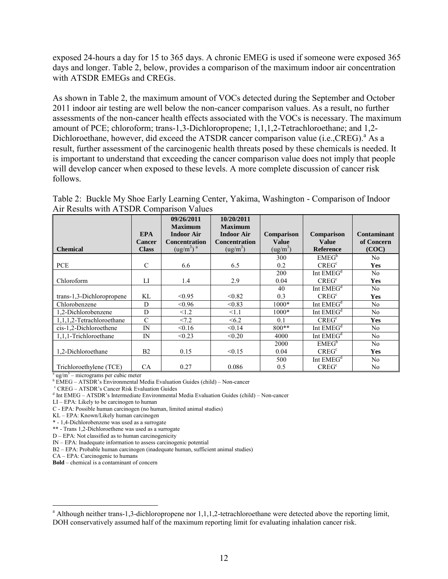exposed 24-hours a day for 15 to 365 days. A chronic EMEG is used if someone were exposed 365 days and longer. Table 2, below, provides a comparison of the maximum indoor air concentration with ATSDR EMEGs and CREGs.

As shown in Table 2, the maximum amount of VOCs detected during the September and October 2011 indoor air testing are well below the non-cancer comparison values. As a result, no further assessments of the non-cancer health effects associated with the VOCs is necessary. The maximum amount of PCE; chloroform; trans-1,3-Dichloropropene; 1,1,1,2-Tetrachloroethane; and 1,2- Dichloroethane, however, did exceed the ATSDR cancer comparison value (i.e., CREG).<sup>a</sup> As a result, further assessment of the carcinogenic health threats posed by these chemicals is needed. It is important to understand that exceeding the cancer comparison value does not imply that people will develop cancer when exposed to these levels. A more complete discussion of cancer risk follows.

| Table 2: Buckle My Shoe Early Learning Center, Yakima, Washington - Comparison of Indoor |  |  |
|------------------------------------------------------------------------------------------|--|--|
| Air Results with ATSDR Comparison Values                                                 |  |  |

|                                                 |                                             | 09/26/2011<br><b>Maximum</b>                                                   | 10/20/2011<br><b>Maximum</b>                                      |                                                           |                                                       |                                    |
|-------------------------------------------------|---------------------------------------------|--------------------------------------------------------------------------------|-------------------------------------------------------------------|-----------------------------------------------------------|-------------------------------------------------------|------------------------------------|
| <b>Chemical</b>                                 | <b>EPA</b><br><b>Cancer</b><br><b>Class</b> | <b>Indoor Air</b><br><b>Concentration</b><br>(ug/m <sup>3</sup> ) <sup>a</sup> | <b>Indoor Air</b><br><b>Concentration</b><br>(ug/m <sup>3</sup> ) | <b>Comparison</b><br><b>Value</b><br>(ug/m <sup>3</sup> ) | <b>Comparison</b><br><b>Value</b><br><b>Reference</b> | Contaminant<br>of Concern<br>(COC) |
| <b>PCE</b>                                      | $\mathsf{C}$                                | 6.6                                                                            | 6.5                                                               | 300<br>0.2                                                | EMEG <sup>b</sup><br>CREG <sup>c</sup>                | No.<br><b>Yes</b>                  |
| Chloroform                                      | LI                                          | 1.4                                                                            | 2.9                                                               | 200<br>0.04                                               | Int $EMEGd$<br>CREG <sup>c</sup>                      | N <sub>0</sub><br><b>Yes</b>       |
| trans-1,3-Dichloropropene                       | KL                                          | < 0.95                                                                         | < 0.82                                                            | 40<br>0.3                                                 | Int $EMEGd$<br>CREG <sup>c</sup>                      | N <sub>0</sub><br>Yes              |
| Chlorobenzene<br>1,2-Dichlorobenzene            | D<br>D                                      | < 0.96<br>< 1.2                                                                | < 0.83<br><1.1                                                    | $1000*$<br>$1000*$                                        | Int $EMEGd$<br>Int $EMEGd$                            | N <sub>0</sub><br>N <sub>0</sub>   |
| 1.1.1.2-Tetrachloroethane                       | $\mathcal{C}$                               | < 7.2                                                                          | <6.2                                                              | 0.1                                                       | CREG <sup>c</sup>                                     | <b>Yes</b>                         |
| cis-1,2-Dichloroethene<br>1,1,1-Trichloroethane | IN<br>IN                                    | < 0.16<br>< 0.23                                                               | < 0.14<br>< 0.20                                                  | $800**$<br>4000                                           | Int $EMEGd$<br>Int $EMEGd$                            | No<br>N <sub>0</sub>               |
| 1,2-Dichloroethane                              | B <sub>2</sub>                              | 0.15                                                                           | < 0.15                                                            | 2000<br>0.04                                              | EMEG <sup>b</sup><br>CREG <sup>c</sup>                | N <sub>0</sub><br>Yes              |
| Trichloroethylene (TCE)                         | CA                                          | 0.27                                                                           | 0.086                                                             | 500<br>0.5                                                | Int $EMEGd$<br>CREG <sup>c</sup>                      | N <sub>0</sub><br>No.              |

<sup>a</sup> ug/m<sup>3</sup> – micrograms per cubic meter

<sup>b</sup> EMEG – ATSDR's Environmental Media Evaluation Guides (child) – Non-cancer

c CREG – ATSDR"s Cancer Risk Evaluation Guides

d Int EMEG – ATSDR"s Intermediate Environmental Media Evaluation Guides (child) – Non-cancer

LI – EPA: Likely to be carcinogen to human

C - EPA: Possible human carcinogen (no human, limited animal studies)

KL – EPA: Known/Likely human carcinogen

\* - 1,4-Dichlorobenzene was used as a surrogate

\*\* - Trans 1,2-Dichloroethene was used as a surrogate

D – EPA: Not classified as to human carcinogenicity

IN – EPA: Inadequate information to assess carcinogenic potential

B2 – EPA: Probable human carcinogen (inadequate human, sufficient animal studies)

CA – EPA: Carcinogenic to humans

 $\overline{a}$ 

**Bold** – chemical is a contaminant of concern

<sup>&</sup>lt;sup>a</sup> Although neither trans-1,3-dichloropropene nor 1,1,1,2-tetrachloroethane were detected above the reporting limit, DOH conservatively assumed half of the maximum reporting limit for evaluating inhalation cancer risk.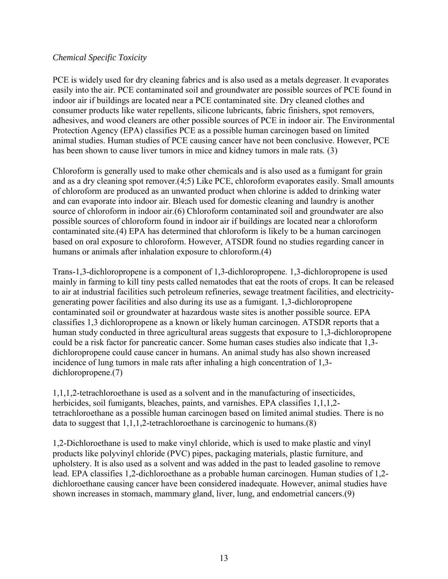#### *Chemical Specific Toxicity*

PCE is widely used for dry cleaning fabrics and is also used as a metals degreaser. It evaporates easily into the air. PCE contaminated soil and groundwater are possible sources of PCE found in indoor air if buildings are located near a PCE contaminated site. Dry cleaned clothes and consumer products like water repellents, silicone lubricants, fabric finishers, spot removers, adhesives, and wood cleaners are other possible sources of PCE in indoor air. The Environmental Protection Agency (EPA) classifies PCE as a possible human carcinogen based on limited animal studies. Human studies of PCE causing cancer have not been conclusive. However, PCE has been shown to cause liver tumors in mice and kidney tumors in male rats. (3)

Chloroform is generally used to make other chemicals and is also used as a fumigant for grain and as a dry cleaning spot remover.(4;5) Like PCE, chloroform evaporates easily. Small amounts of chloroform are produced as an unwanted product when chlorine is added to drinking water and can evaporate into indoor air. Bleach used for domestic cleaning and laundry is another source of chloroform in indoor air.(6) Chloroform contaminated soil and groundwater are also possible sources of chloroform found in indoor air if buildings are located near a chloroform contaminated site.(4) EPA has determined that chloroform is likely to be a human carcinogen based on oral exposure to chloroform. However, ATSDR found no studies regarding cancer in humans or animals after inhalation exposure to chloroform.(4)

Trans-1,3-dichloropropene is a component of 1,3-dichloropropene. 1,3-dichloropropene is used mainly in farming to kill tiny pests called nematodes that eat the roots of crops. It can be released to air at industrial facilities such petroleum refineries, sewage treatment facilities, and electricitygenerating power facilities and also during its use as a fumigant. 1,3-dichloropropene contaminated soil or groundwater at hazardous waste sites is another possible source. EPA classifies 1,3 dichloropropene as a known or likely human carcinogen. ATSDR reports that a human study conducted in three agricultural areas suggests that exposure to 1,3-dichloropropene could be a risk factor for pancreatic cancer. Some human cases studies also indicate that 1,3 dichloropropene could cause cancer in humans. An animal study has also shown increased incidence of lung tumors in male rats after inhaling a high concentration of 1,3 dichloropropene.(7)

1,1,1,2-tetrachloroethane is used as a solvent and in the manufacturing of insecticides, herbicides, soil fumigants, bleaches, paints, and varnishes. EPA classifies 1,1,1,2 tetrachloroethane as a possible human carcinogen based on limited animal studies. There is no data to suggest that 1,1,1,2-tetrachloroethane is carcinogenic to humans.(8)

1,2-Dichloroethane is used to make vinyl chloride, which is used to make plastic and vinyl products like polyvinyl chloride (PVC) pipes, packaging materials, plastic furniture, and upholstery. It is also used as a solvent and was added in the past to leaded gasoline to remove lead. EPA classifies 1,2-dichloroethane as a probable human carcinogen. Human studies of 1,2 dichloroethane causing cancer have been considered inadequate. However, animal studies have shown increases in stomach, mammary gland, liver, lung, and endometrial cancers.(9)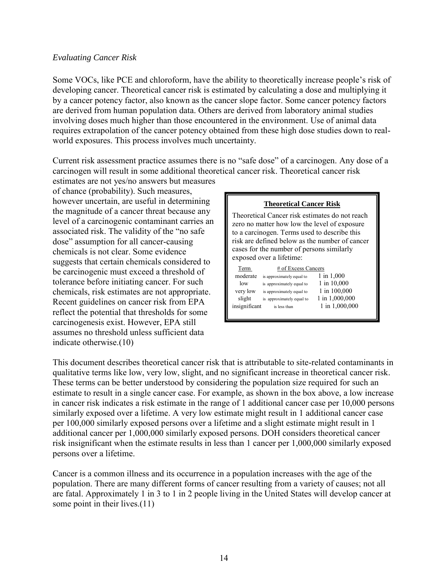#### *Evaluating Cancer Risk*

Some VOCs, like PCE and chloroform, have the ability to theoretically increase people"s risk of developing cancer. Theoretical cancer risk is estimated by calculating a dose and multiplying it by a cancer potency factor, also known as the cancer slope factor. Some cancer potency factors are derived from human population data. Others are derived from laboratory animal studies involving doses much higher than those encountered in the environment. Use of animal data requires extrapolation of the cancer potency obtained from these high dose studies down to realworld exposures. This process involves much uncertainty.

Current risk assessment practice assumes there is no "safe dose" of a carcinogen. Any dose of a carcinogen will result in some additional theoretical cancer risk. Theoretical cancer risk

estimates are not yes/no answers but measures of chance (probability). Such measures, however uncertain, are useful in determining the magnitude of a cancer threat because any level of a carcinogenic contaminant carries an associated risk. The validity of the "no safe dose" assumption for all cancer-causing chemicals is not clear. Some evidence suggests that certain chemicals considered to be carcinogenic must exceed a threshold of tolerance before initiating cancer. For such chemicals, risk estimates are not appropriate. Recent guidelines on cancer risk from EPA reflect the potential that thresholds for some carcinogenesis exist. However, EPA still assumes no threshold unless sufficient data indicate otherwise.(10)

| <b>Theoretical Cancer Risk</b>                                                                                                                                                                                                                                            |                           |                |  |  |  |
|---------------------------------------------------------------------------------------------------------------------------------------------------------------------------------------------------------------------------------------------------------------------------|---------------------------|----------------|--|--|--|
| Theoretical Cancer risk estimates do not reach<br>zero no matter how low the level of exposure<br>to a carcinogen. Terms used to describe this<br>risk are defined below as the number of cancer<br>cases for the number of persons similarly<br>exposed over a lifetime: |                           |                |  |  |  |
| Term                                                                                                                                                                                                                                                                      | # of Excess Cancers       |                |  |  |  |
| moderate                                                                                                                                                                                                                                                                  | is approximately equal to | $1$ in $1,000$ |  |  |  |
| low                                                                                                                                                                                                                                                                       | is approximately equal to | 1 in 10,000    |  |  |  |
| very low                                                                                                                                                                                                                                                                  | is approximately equal to | 1 in 100,000   |  |  |  |
| slight                                                                                                                                                                                                                                                                    | is approximately equal to | 1 in 1,000,000 |  |  |  |
| insignificant                                                                                                                                                                                                                                                             | is less than              | 1 in 1,000,000 |  |  |  |

This document describes theoretical cancer risk that is attributable to site-related contaminants in qualitative terms like low, very low, slight, and no significant increase in theoretical cancer risk. These terms can be better understood by considering the population size required for such an estimate to result in a single cancer case. For example, as shown in the box above, a low increase in cancer risk indicates a risk estimate in the range of 1 additional cancer case per 10,000 persons similarly exposed over a lifetime. A very low estimate might result in 1 additional cancer case per 100,000 similarly exposed persons over a lifetime and a slight estimate might result in 1 additional cancer per 1,000,000 similarly exposed persons. DOH considers theoretical cancer risk insignificant when the estimate results in less than 1 cancer per 1,000,000 similarly exposed persons over a lifetime.

Cancer is a common illness and its occurrence in a population increases with the age of the population. There are many different forms of cancer resulting from a variety of causes; not all are fatal. Approximately 1 in 3 to 1 in 2 people living in the United States will develop cancer at some point in their lives.(11)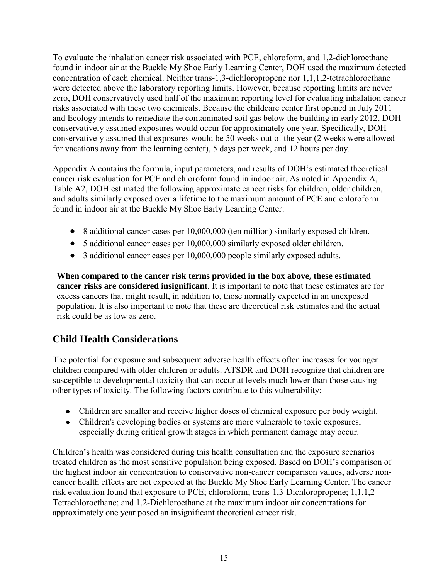To evaluate the inhalation cancer risk associated with PCE, chloroform, and 1,2-dichloroethane found in indoor air at the Buckle My Shoe Early Learning Center, DOH used the maximum detected concentration of each chemical. Neither trans-1,3-dichloropropene nor 1,1,1,2-tetrachloroethane were detected above the laboratory reporting limits. However, because reporting limits are never zero, DOH conservatively used half of the maximum reporting level for evaluating inhalation cancer risks associated with these two chemicals. Because the childcare center first opened in July 2011 and Ecology intends to remediate the contaminated soil gas below the building in early 2012, DOH conservatively assumed exposures would occur for approximately one year. Specifically, DOH conservatively assumed that exposures would be 50 weeks out of the year (2 weeks were allowed for vacations away from the learning center), 5 days per week, and 12 hours per day.

Appendix A contains the formula, input parameters, and results of DOH"s estimated theoretical cancer risk evaluation for PCE and chloroform found in indoor air. As noted in Appendix A, Table A2, DOH estimated the following approximate cancer risks for children, older children, and adults similarly exposed over a lifetime to the maximum amount of PCE and chloroform found in indoor air at the Buckle My Shoe Early Learning Center:

- 8 additional cancer cases per 10,000,000 (ten million) similarly exposed children.
- 5 additional cancer cases per 10,000,000 similarly exposed older children.
- 3 additional cancer cases per 10,000,000 people similarly exposed adults.

**When compared to the cancer risk terms provided in the box above, these estimated cancer risks are considered insignificant**. It is important to note that these estimates are for excess cancers that might result, in addition to, those normally expected in an unexposed population. It is also important to note that these are theoretical risk estimates and the actual risk could be as low as zero.

# **Child Health Considerations**

The potential for exposure and subsequent adverse health effects often increases for younger children compared with older children or adults. ATSDR and DOH recognize that children are susceptible to developmental toxicity that can occur at levels much lower than those causing other types of toxicity. The following factors contribute to this vulnerability:

- Children are smaller and receive higher doses of chemical exposure per body weight.
- Children's developing bodies or systems are more vulnerable to toxic exposures, especially during critical growth stages in which permanent damage may occur.

Children"s health was considered during this health consultation and the exposure scenarios treated children as the most sensitive population being exposed. Based on DOH"s comparison of the highest indoor air concentration to conservative non-cancer comparison values, adverse noncancer health effects are not expected at the Buckle My Shoe Early Learning Center. The cancer risk evaluation found that exposure to PCE; chloroform; trans-1,3-Dichloropropene; 1,1,1,2- Tetrachloroethane; and 1,2-Dichloroethane at the maximum indoor air concentrations for approximately one year posed an insignificant theoretical cancer risk.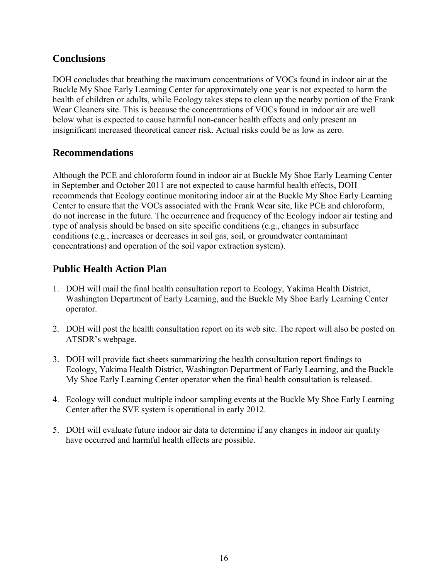# **Conclusions**

DOH concludes that breathing the maximum concentrations of VOCs found in indoor air at the Buckle My Shoe Early Learning Center for approximately one year is not expected to harm the health of children or adults, while Ecology takes steps to clean up the nearby portion of the Frank Wear Cleaners site. This is because the concentrations of VOCs found in indoor air are well below what is expected to cause harmful non-cancer health effects and only present an insignificant increased theoretical cancer risk. Actual risks could be as low as zero.

## **Recommendations**

Although the PCE and chloroform found in indoor air at Buckle My Shoe Early Learning Center in September and October 2011 are not expected to cause harmful health effects, DOH recommends that Ecology continue monitoring indoor air at the Buckle My Shoe Early Learning Center to ensure that the VOCs associated with the Frank Wear site, like PCE and chloroform, do not increase in the future. The occurrence and frequency of the Ecology indoor air testing and type of analysis should be based on site specific conditions (e.g., changes in subsurface conditions (e.g., increases or decreases in soil gas, soil, or groundwater contaminant concentrations) and operation of the soil vapor extraction system).

# **Public Health Action Plan**

- 1. DOH will mail the final health consultation report to Ecology, Yakima Health District, Washington Department of Early Learning, and the Buckle My Shoe Early Learning Center operator.
- 2. DOH will post the health consultation report on its web site. The report will also be posted on ATSDR"s webpage.
- 3. DOH will provide fact sheets summarizing the health consultation report findings to Ecology, Yakima Health District, Washington Department of Early Learning, and the Buckle My Shoe Early Learning Center operator when the final health consultation is released.
- 4. Ecology will conduct multiple indoor sampling events at the Buckle My Shoe Early Learning Center after the SVE system is operational in early 2012.
- 5. DOH will evaluate future indoor air data to determine if any changes in indoor air quality have occurred and harmful health effects are possible.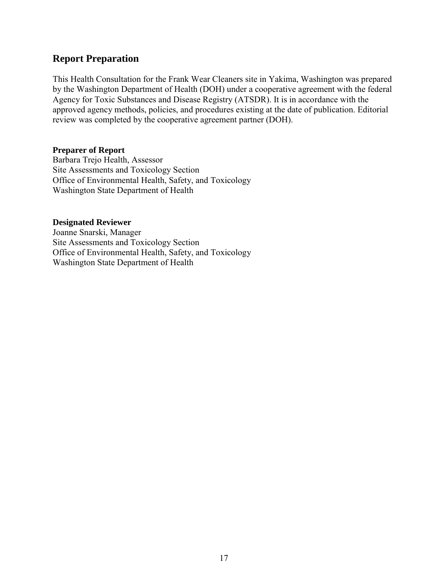## **Report Preparation**

This Health Consultation for the Frank Wear Cleaners site in Yakima, Washington was prepared by the Washington Department of Health (DOH) under a cooperative agreement with the federal Agency for Toxic Substances and Disease Registry (ATSDR). It is in accordance with the approved agency methods, policies, and procedures existing at the date of publication. Editorial review was completed by the cooperative agreement partner (DOH).

#### **Preparer of Report**

Barbara Trejo Health, Assessor Site Assessments and Toxicology Section Office of Environmental Health, Safety, and Toxicology Washington State Department of Health

#### **Designated Reviewer**

Joanne Snarski, Manager Site Assessments and Toxicology Section Office of Environmental Health, Safety, and Toxicology Washington State Department of Health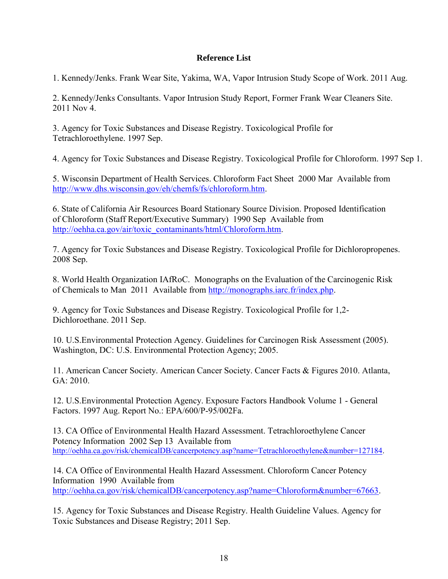#### **Reference List**

1. Kennedy/Jenks. Frank Wear Site, Yakima, WA, Vapor Intrusion Study Scope of Work. 2011 Aug.

2. Kennedy/Jenks Consultants. Vapor Intrusion Study Report, Former Frank Wear Cleaners Site. 2011 Nov 4.

3. Agency for Toxic Substances and Disease Registry. Toxicological Profile for Tetrachloroethylene. 1997 Sep.

4. Agency for Toxic Substances and Disease Registry. Toxicological Profile for Chloroform. 1997 Sep 1.

5. Wisconsin Department of Health Services. Chloroform Fact Sheet 2000 Mar Available from [http://www.dhs.wisconsin.gov/eh/chemfs/fs/chloroform.htm.](http://www.dhs.wisconsin.gov/eh/chemfs/fs/chloroform.htm)

6. State of California Air Resources Board Stationary Source Division. Proposed Identification of Chloroform (Staff Report/Executive Summary) 1990 Sep Available from [http://oehha.ca.gov/air/toxic\\_contaminants/html/Chloroform.htm.](http://oehha.ca.gov/air/toxic_contaminants/html/Chloroform.htm)

7. Agency for Toxic Substances and Disease Registry. Toxicological Profile for Dichloropropenes. 2008 Sep.

8. World Health Organization IAfRoC. Monographs on the Evaluation of the Carcinogenic Risk of Chemicals to Man 2011 Available from [http://monographs.iarc.fr/index.php.](http://monographs.iarc.fr/index.php)

9. Agency for Toxic Substances and Disease Registry. Toxicological Profile for 1,2- Dichloroethane. 2011 Sep.

10. U.S.Environmental Protection Agency. Guidelines for Carcinogen Risk Assessment (2005). Washington, DC: U.S. Environmental Protection Agency; 2005.

11. American Cancer Society. American Cancer Society. Cancer Facts & Figures 2010. Atlanta, GA: 2010.

12. U.S.Environmental Protection Agency. Exposure Factors Handbook Volume 1 - General Factors. 1997 Aug. Report No.: EPA/600/P-95/002Fa.

13. CA Office of Environmental Health Hazard Assessment. Tetrachloroethylene Cancer Potency Information 2002 Sep 13 Available from [http://oehha.ca.gov/risk/chemicalDB/cancerpotency.asp?name=Tetrachloroethylene&number=127184.](http://oehha.ca.gov/risk/chemicalDB/cancerpotency.asp?name=Tetrachloroethylene&number=127184)

14. CA Office of Environmental Health Hazard Assessment. Chloroform Cancer Potency Information 1990 Available from [http://oehha.ca.gov/risk/chemicalDB/cancerpotency.asp?name=Chloroform&number=67663.](http://oehha.ca.gov/risk/chemicalDB/cancerpotency.asp?name=Chloroform&number=67663)

15. Agency for Toxic Substances and Disease Registry. Health Guideline Values. Agency for Toxic Substances and Disease Registry; 2011 Sep.